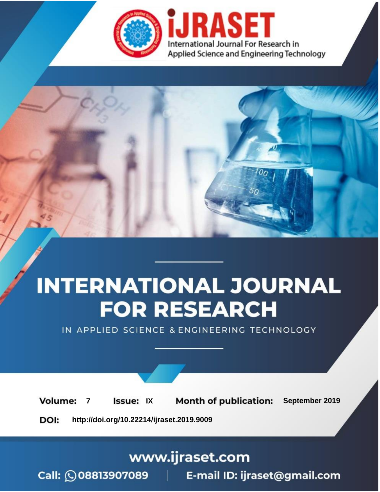

# **INTERNATIONAL JOURNAL FOR RESEARCH**

IN APPLIED SCIENCE & ENGINEERING TECHNOLOGY

**Month of publication: Volume: Issue: IX** September 2019  $\overline{7}$ DOI: http://doi.org/10.22214/ijraset.2019.9009

www.ijraset.com

 $Call: \bigcirc$ 08813907089 E-mail ID: ijraset@gmail.com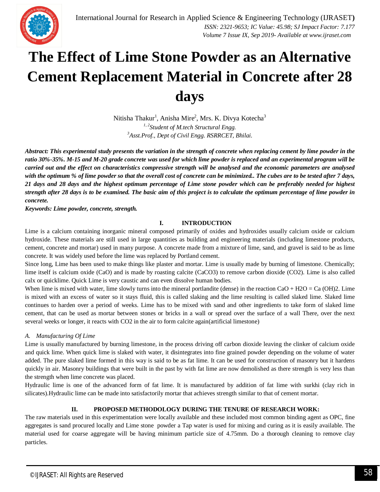

# **The Effect of Lime Stone Powder as an Alternative Cement Replacement Material in Concrete after 28 days**

Nitisha Thakur<sup>1</sup>, Anisha Mire<sup>2</sup>, Mrs. K. Divya Kotecha<sup>3</sup> *1, 2Student of M.tech Structural Engg. <sup>3</sup>Asst.Prof., Dept of Civil Engg. RSRRCET, Bhilai.*

*Abstract: This experimental study presents the variation in the strength of concrete when replacing cement by lime powder in the ratio 30%-35%. M-15 and M-20 grade concrete was used for which lime powder is replaced and an experimental program will be carried out and the effect on characteristics compressive strength will be analysed and the economic parameters are analysed with the optimum % of lime powder so that the overall cost of concrete can be minimized.. The cubes are to be tested after 7 days, 21 days and 28 days and the highest optimum percentage of Lime stone powder which can be preferably needed for highest strength after 28 days is to be examined. The basic aim of this project is to calculate the optimum percentage of lime powder in concrete.*

*Keywords: Lime powder, concrete, strength.*

# **I. INTRODUCTION**

Lime is a calcium containing inorganic mineral composed primarily of oxides and hydroxides usually calcium oxide or calcium hydroxide. These materials are still used in large quantities as building and engineering materials (including limestone products, cement, concrete and mortar) used in many purpose. A concrete made from a mixture of lime, sand, and gravel is said to be as lime concrete. It was widely used before the lime was replaced by Portland cement.

Since long, Lime has been used to make things like plaster and mortar. Lime is usually made by burning of limestone. Chemically; lime itself is calcium oxide (CaO) and is made by roasting calcite (CaCO3) to remove carbon dioxide (CO2). Lime is also called calx or quicklime. Quick Lime is very caustic and can even dissolve human bodies.

When lime is mixed with water, lime slowly turns into the mineral portlandite (dense) in the reaction  $CaO + H2O = Ca \text{ (OH)}2$ . Lime is mixed with an excess of water so it stays fluid, this is called slaking and the lime resulting is called slaked lime. Slaked lime continues to harden over a period of weeks. Lime has to be mixed with sand and other ingredients to take form of slaked lime cement, that can be used as mortar between stones or bricks in a wall or spread over the surface of a wall There, over the next several weeks or longer, it reacts with CO2 in the air to form calcite again(artificial limestone)

# *A. Manufacturing Of Lime*

Lime is usually manufactured by burning limestone, in the process driving off carbon dioxide leaving the clinker of calcium oxide and quick lime. When quick lime is slaked with water, it disintegrates into fine grained powder depending on the volume of water added. The pure slaked lime formed in this way is said to be as fat lime. It can be used for construction of masonry but it hardens quickly in air. Masonry buildings that were built in the past by with fat lime are now demolished as there strength is very less than the strength when lime concrete was placed.

Hydraulic lime is one of the advanced form of fat lime. It is manufactured by addition of fat lime with surkhi (clay rich in silicates).Hydraulic lime can be made into satisfactorily mortar that achieves strength similar to that of cement mortar.

# **II. PROPOSED METHODOLOGY DURING THE TENURE OF RESEARCH WORK:**

The raw materials used in this experimentation were locally available and these included most common binding agent as OPC, fine aggregates is sand procured locally and Lime stone powder a Tap water is used for mixing and curing as it is easily available. The material used for coarse aggregate will be having minimum particle size of 4.75mm. Do a thorough cleaning to remove clay particles.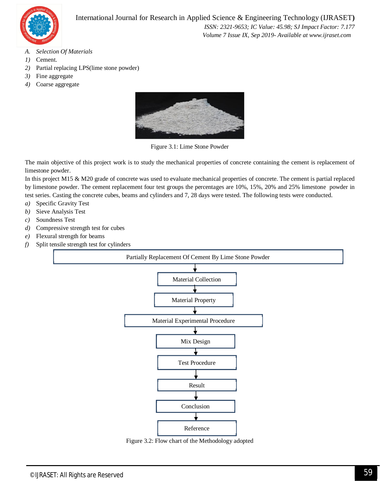

- *A. Selection Of Materials*
- *1)* Cement.
- *2)* Partial replacing LPS(lime stone powder)
- *3)* Fine aggregate
- *4)* Coarse aggregate



Figure 3.1: Lime Stone Powder

The main objective of this project work is to study the mechanical properties of concrete containing the cement is replacement of limestone powder.

In this project M15 & M20 grade of concrete was used to evaluate mechanical properties of concrete. The cement is partial replaced by limestone powder. The cement replacement four test groups the percentages are 10%, 15%, 20% and 25% limestone powder in test series. Casting the concrete cubes, beams and cylinders and 7, 28 days were tested. The following tests were conducted.

- *a)* Specific Gravity Test
- *b)* Sieve Analysis Test
- *c)* Soundness Test
- *d)* Compressive strength test for cubes
- *e)* Flexural strength for beams
- *f)* Split tensile strength test for cylinders



Figure 3.2: Flow chart of the Methodology adopted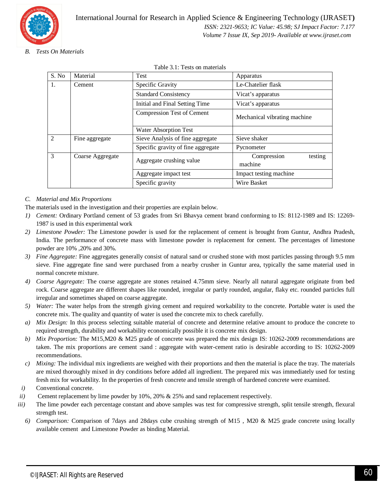

*B. Tests On Materials*

| S. No          | Material         | <b>Test</b>                                      | Apparatus                         |  |  |  |
|----------------|------------------|--------------------------------------------------|-----------------------------------|--|--|--|
| 1.             | Cement           | Specific Gravity<br>Le-Chatelier flask           |                                   |  |  |  |
|                |                  | <b>Standard Consistency</b><br>Vicat's apparatus |                                   |  |  |  |
|                |                  | Initial and Final Setting Time                   | Vicat's apparatus                 |  |  |  |
|                |                  | Compression Test of Cement                       | Mechanical vibrating machine      |  |  |  |
|                |                  | Water Absorption Test                            |                                   |  |  |  |
| $\overline{2}$ | Fine aggregate   | Sieve Analysis of fine aggregate                 | Sieve shaker                      |  |  |  |
|                |                  | Specific gravity of fine aggregate               | Pycnometer                        |  |  |  |
| 3              | Coarse Aggregate | Aggregate crushing value                         | testing<br>Compression<br>machine |  |  |  |
|                |                  | Aggregate impact test                            | Impact testing machine            |  |  |  |
|                |                  | Specific gravity                                 | Wire Basket                       |  |  |  |

Table 3.1: Tests on materials

# *C. Material and Mix Proportions*

The materials used in the investigation and their properties are explain below.

- *1) Cement:* Ordinary Portland cement of 53 grades from Sri Bhavya cement brand conforming to IS: 8112-1989 and IS: 12269- 1987 is used in this experimental work
- *2) Limestone Powder:* The Limestone powder is used for the replacement of cement is brought from Guntur, Andhra Pradesh, India. The performance of concrete mass with limestone powder is replacement for cement. The percentages of limestone powder are 10% ,20% and 30%.
- *3) Fine Aggregate:* Fine aggregates generally consist of natural sand or crushed stone with most particles passing through 9.5 mm sieve. Fine aggregate fine sand were purchased from a nearby crusher in Guntur area, typically the same material used in normal concrete mixture.
- *4) Coarse Aggregate:* The coarse aggregate are stones retained 4.75mm sieve. Nearly all natural aggregate originate from bed rock. Coarse aggregate are different shapes like rounded, irregular or partly rounded, angular, flaky etc. rounded particles full irregular and sometimes shaped on coarse aggregate.
- *5) Water:* The water helps from the strength giving cement and required workability to the concrete. Portable water is used the concrete mix. The quality and quantity of water is used the concrete mix to check carefully.
- *a) Mix Design:* In this process selecting suitable material of concrete and determine relative amount to produce the concrete to required strength, durability and workability economically possible it is concrete mix design.
- *b) Mix Proportion:* The M15,M20 & M25 grade of concrete was prepared the mix design IS: 10262-2009 recommendations are taken. The mix proportions are cement :sand : aggregate with water-cement ratio is desirable according to IS: 10262-2009 recommendations.
- *c) Mixing:* The individual mix ingredients are weighed with their proportions and then the material is place the tray. The materials are mixed thoroughly mixed in dry conditions before added all ingredient. The prepared mix was immediately used for testing fresh mix for workability. In the properties of fresh concrete and tensile strength of hardened concrete were examined.
- *i)* Conventional concrete.
- *ii*) Cement replacement by lime powder by 10%, 20% & 25% and sand replacement respectively.
- *iii*) The lime powder each percentage constant and above samples was test for compressive strength, split tensile strength, flexural strength test.
	- *6) Comparison:* Comparison of 7days and 28days cube crushing strength of M15 , M20 & M25 grade concrete using locally available cement and Limestone Powder as binding Material.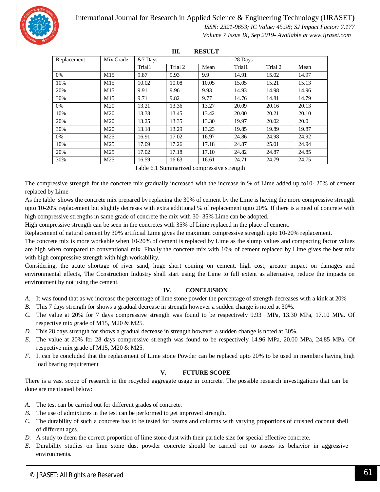

# International Journal for Research in Applied Science & Engineering Technology (IJRASET**)**

 *ISSN: 2321-9653; IC Value: 45.98; SJ Impact Factor: 7.177 Volume 7 Issue IX, Sep 2019- Available at www.ijraset.com*

| III.<br><b>RESULT</b> |                 |         |         |       |         |         |       |  |  |  |
|-----------------------|-----------------|---------|---------|-------|---------|---------|-------|--|--|--|
| Replacement           | Mix Grade       | &7 Days |         |       | 28 Days |         |       |  |  |  |
|                       |                 | Trial1  | Trial 2 | Mean  | Trial1  | Trial 2 | Mean  |  |  |  |
| 0%                    | M15             | 9.87    | 9.93    | 9.9   | 14.91   | 15.02   | 14.97 |  |  |  |
| 10%                   | M15             | 10.02   | 10.08   | 10.05 | 15.05   | 15.21   | 15.13 |  |  |  |
| 20%                   | M15             | 9.91    | 9.96    | 9.93  | 14.93   | 14.98   | 14.96 |  |  |  |
| 30%                   | M15             | 9.71    | 9.82    | 9.77  | 14.76   | 14.81   | 14.79 |  |  |  |
| 0%                    | M <sub>20</sub> | 13.21   | 13.36   | 13.27 | 20.09   | 20.16   | 20.13 |  |  |  |
| 10%                   | M <sub>20</sub> | 13.38   | 13.45   | 13.42 | 20.00   | 20.21   | 20.10 |  |  |  |
| 20%                   | M <sub>20</sub> | 13.25   | 13.35   | 13.30 | 19.97   | 20.02   | 20.0  |  |  |  |
| 30%                   | M <sub>20</sub> | 13.18   | 13.29   | 13.23 | 19.85   | 19.89   | 19.87 |  |  |  |
| 0%                    | M25             | 16.91   | 17.02   | 16.97 | 24.86   | 24.98   | 24.92 |  |  |  |
| 10%                   | M25             | 17.09   | 17.26   | 17.18 | 24.87   | 25.01   | 24.94 |  |  |  |
| 20%                   | M25             | 17.02   | 17.18   | 17.10 | 24.82   | 24.87   | 24.85 |  |  |  |
| 30%                   | M25             | 16.59   | 16.63   | 16.61 | 24.71   | 24.79   | 24.75 |  |  |  |

Table 6.1 Summarized compressive strength

The compressive strength for the concrete mix gradually increased with the increase in % of Lime added up to10- 20% of cement replaced by Lime

As the table shows the concrete mix prepared by replacing the 30% of cement by the Lime is having the more compressive strength upto 10-20% replacement but slightly decreses with extra additional % of replacement upto 20%. If there is a need of concrete with high compressive strengths in same grade of concrete the mix with 30- 35% Lime can be adopted.

High compressive strength can be seen in the concretes with 35% of Lime replaced in the place of cement.

Replacement of natural cement by 30% artificial Lime gives the maximum compressive strength upto 10-20% replacement.

The concrete mix is more workable when 10-20% of cement is replaced by Lime as the slump values and compacting factor values are high when compared to conventional mix. Finally the concrete mix with 10% of cement replaced by Lime gives the best mix with high compressive strength with high workability.

Considering, the acute shortage of river sand, huge short coming on cement, high cost, greater impact on damages and environmental effects, The Construction Industry shall start using the Lime to full extent as alternative, reduce the impacts on environment by not using the cement.

# **IV. CONCLUSION**

- *A.* It was found that as we increase the percentage of lime stone powder the percentage of strength decreases with a kink at 20%
- *B.* This 7 days strength for shows a gradual decrease in strength however a sudden change is noted at 30%.
- *C.* The value at 20% for 7 days compressive strength was found to be respectively 9.93 MPa, 13.30 MPa, 17.10 MPa. Of respective mix grade of M15, M20 & M25.
- *D.* This 28 days strength for shows a gradual decrease in strength however a sudden change is noted at 30%.
- *E.* The value at 20% for 28 days compressive strength was found to be respectively 14.96 MPa, 20.00 MPa, 24.85 MPa. Of respective mix grade of M15, M20 & M25.
- *F.* It can be concluded that the replacement of Lime stone Powder can be replaced upto 20% to be used in members having high load bearing requirement

# **V. FUTURE SCOPE**

There is a vast scope of research in the recycled aggregate usage in concrete. The possible research investigations that can be done are mentioned below:

- *A.* The test can be carried out for different grades of concrete.
- *B.* The use of admixtures in the test can be performed to get improved strength.
- *C.* The durability of such a concrete has to be tested for beams and columns with varying proportions of crushed coconut shell of different ages.
- *D.* A study to deem the correct proportion of lime stone dust with their particle size for special effective concrete.
- *E.* Durability studies on lime stone dust powder concrete should be carried out to assess its behavior in aggressive environments.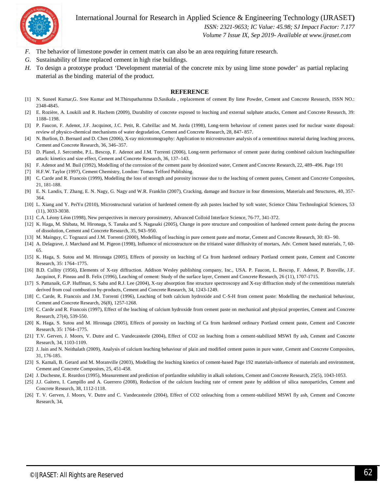International Journal for Research in Applied Science & Engineering Technology (IJRASET**)**



 *ISSN: 2321-9653; IC Value: 45.98; SJ Impact Factor: 7.177 Volume 7 Issue IX, Sep 2019- Available at www.ijraset.com*

- *F.* The behavior of limestone powder in cement matrix can also be an area requiring future research.
- *G.* Sustainability of lime replaced cement in high rise buildings.
- *H.* To design a prototype product 'Development material of the concrete mix by using lime stone powder' as partial replacing material as the binding material of the product.

#### **REFERENCE**

- [1] N. Suneel Kumar,G. Sree Kumar and M.Thirupathamma D.Sasikala , replacement of cement By lime Powder, Cement and Concrete Research, ISSN NO.: 2348-4845.
- [2] E. Rozière, A. Loukili and R. Hachem (2009), Durability of concrete exposed to leaching and external sulphate attacks, Cement and Concrete Research, 39: 1188–1198.
- [3] P. Faucon, F. Adenot, J.F. Jacquinot, J.C. Petit, R. Cabrillac and M. Jorda (1998), Long-term behaviour of cement pastes used for nuclear waste disposal: review of physico-chemical mechanisms of water degradation, Cement and Concrete Research, 28, 847- 857.
- [4] N. Burlion, D. Bernard and D. Chen (2006), X-ray microtomography: Application to microstructure analysis of a cementitious material during leaching process, Cement and Concrete Research, 36, 346–357.
- [5] D. Planel, J. Sercombe, P.L. Bescop, F. Adenot and J.M. Torrenti (2006), Long-term performance of cement paste during combined calcium leachingsulfate attack: kinetics and size effect, Cement and Concrete Research, 36, 137–143.
- [6] F. Adenot and M. Buil (1992), Modelling of the corrosion of the cement paste by deionized water, Cement and Concrete Research, 22, 489–496. Page 191
- [7] H.F.W. Taylor (1997), Cement Chemistry, London: Tomas Telford Publishing.
- [8] C. Carde and R. Francois (1999), Modelling the loss of strength and porosity increase due to the leaching of cement pastes, Cement and Concrete Composites, 21, 181-188.
- [9] E. N. Landis, T. Zhang, E. N. Nagy, G. Nagy and W.R. Franklin (2007), Cracking, damage and fracture in four dimensions, Materials and Structures, 40, 357- 364.
- [10] L. Xiang and Y. PeiYu (2010), Microstructural variation of hardened cement-fly ash pastes leached by soft water, Science China Technological Sciences, 53 (11), 3033-3038.
- [11] C.A. Léony Léon (1998), New perspectives in mercury porosimetry, Advanced Colloid Interface Science, 76-77, 341-372.
- [12] K. Haga, M. Shibata, M. Hironaga, S. Tanaka and S. Nagasaki (2005), Change in pore structure and composition of hardened cement paste during the process of dissolution, Cement and Concrete Research, 35, 943–950.
- [13] M. Mainguy, C. Tognazzi and J.M. Torrenti (2000), Modelling of leaching in pure cement paste and mortar, Cement and Concrete Research, 30: 83– 90.
- [14] A. Delagrave, J. Marchand and M. Pigeon (1998), Influence of microstructure on the tritiated water diffusivity of mortars, Adv. Cement based materials, 7, 60- 65.
- [15] K. Haga, S. Sutou and M. Hironaga (2005), Effects of porosity on leaching of Ca from hardened ordinary Portland cement paste, Cement and Concrete Research, 35: 1764–1775.
- [16] B.D. Cullity (1956), Elements of X-ray diffraction. Addison Wesley publishing company, Inc., USA. P. Faucon, L. Bescop, F. Adenot, P. Bonville, J.F. Jacquinot, F. Pineau and B. Felix (1996), Leaching of cement: Study of the surface layer, Cement and Concrete Research, 26 (11), 1707-1715.
- [17] S. Pattanaik, G.P. Huffman, S. Sahu and R.J. Lee (2004), X-ray absorption fine structure spectroscopy and X-ray diffraction study of the cementitious materials derived from coal combustion by-products, Cement and Concrete Research, 34, 1243-1249.
- [18] C. Carde, R. Francois and J.M. Torrenti (1996), Leaching of both calcium hydroxide and C-S-H from cement paste: Modelling the mechanical behaviour, Cement and Concrete Research, 26(8), 1257-1268.
- [19] C. Carde and R. Francois (1997), Effect of the leaching of calcium hydroxide from cement paste on mechanical and physical properties, Cement and Concrete Research, 27(4), 539-550.
- [20] K. Haga, S. Sutou and M. Hironaga (2005), Effects of porosity on leaching of Ca from hardened ordinary Portland cement paste, Cement and Concrete Research, 35: 1764–1775.
- [21] T.V. Gerven, J. Moors, V. Dutre and C. Vandecasteele (2004), Effect of CO2 on leaching from a cement-stabilized MSWI fly ash, Cement and Concrete Research, 34, 1103-1109.
- [22] J. Jain and N. Neithalath (2009), Analysis of calcium leaching behaviour of plain and modified cement pastes in pure water, Cement and Concrete Composites, 31, 176-185.
- [23] S. Kamali, B. Gerard and M. Moranville (2003), Modelling the leaching kinetics of cement-based Page 192 materials-influence of materials and environment, Cement and Concrete Composites, 25, 451-458.
- [24] J. Duchesne, E. Reardon (1995), Measurement and prediction of portlandite solubility in alkali solutions, Cement and Concrete Research, 25(5), 1043-1053.
- [25] J.J. Gaitero, I. Campillo and A. Guerrero (2008), Reduction of the calcium leaching rate of cement paste by addition of silica nanoparticles, Cement and Concrete Research, 38, 1112-1118.
- [26] T. V. Gerven, J. Moors, V. Dutre and C. Vandecasteele (2004), Effect of CO2 onleaching from a cement-stabilized MSWI fly ash, Cement and Concrete Research, 34,